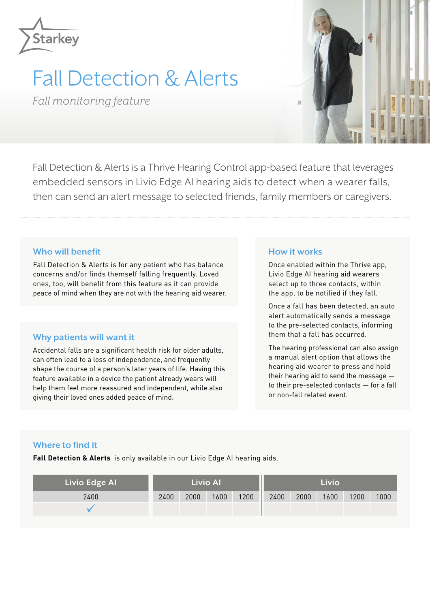

# Fall Detection & Alerts

*Fall monitoring feature*



Fall Detection & Alerts is a Thrive Hearing Control app-based feature that leverages embedded sensors in Livio Edge AI hearing aids to detect when a wearer falls, then can send an alert message to selected friends, family members or caregivers.

#### **Who will benefit**

Fall Detection & Alerts is for any patient who has balance concerns and/or finds themself falling frequently. Loved ones, too, will benefit from this feature as it can provide peace of mind when they are not with the hearing aid wearer.

### **Why patients will want it**

Accidental falls are a significant health risk for older adults, can often lead to a loss of independence, and frequently shape the course of a person's later years of life. Having this feature available in a device the patient already wears will help them feel more reassured and independent, while also giving their loved ones added peace of mind.

#### **How it works**

Once enabled within the Thrive app, Livio Edge AI hearing aid wearers select up to three contacts, within the app, to be notified if they fall.

Once a fall has been detected, an auto alert automatically sends a message to the pre-selected contacts, informing them that a fall has occurred.

The hearing professional can also assign a manual alert option that allows the hearing aid wearer to press and hold their hearing aid to send the message to their pre-selected contacts — for a fall or non-fall related event.

### **Where to find it**

**Fall Detection & Alerts** is only available in our Livio Edge AI hearing aids.

| Livio Edge Al | <b>Livio Al</b> |      |      |      | Livio |      |      |      |      |
|---------------|-----------------|------|------|------|-------|------|------|------|------|
| 2400          | 2400            | 2000 | 1600 | 1200 | 2400  | 2000 | 1600 | 1200 | 1000 |
|               |                 |      |      |      |       |      |      |      |      |